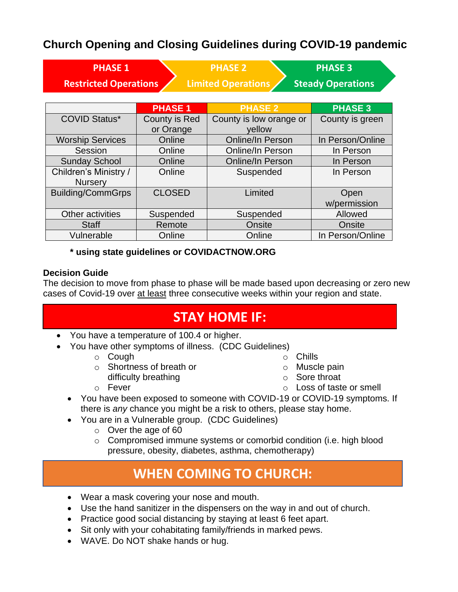### **Church Opening and Closing Guidelines during COVID-19 pandemic**

| <b>PHASE 1</b><br><b>Restricted Operations</b> |                            | <b>PHASE 2</b><br><b>Limited Operations</b> | <b>PHASE 3</b><br><b>Steady Operations</b> |
|------------------------------------------------|----------------------------|---------------------------------------------|--------------------------------------------|
|                                                | <b>PHASE 1</b>             | <b>PHASE 2</b>                              | <b>PHASE 3</b>                             |
| <b>COVID Status*</b>                           | County is Red<br>or Orange | County is low orange or<br>yellow           | County is green                            |
| <b>Worship Services</b>                        | Online                     | <b>Online/In Person</b>                     | In Person/Online                           |
| Session                                        | Online                     | Online/In Person                            | In Person                                  |
| <b>Sunday School</b>                           | Online                     | <b>Online/In Person</b>                     | In Person                                  |
| Children's Ministry /<br><b>Nursery</b>        | Online                     | Suspended                                   | In Person                                  |
| <b>Building/CommGrps</b>                       | <b>CLOSED</b>              | Limited                                     | Open<br>w/permission                       |
| Other activities                               | Suspended                  | Suspended                                   | Allowed                                    |
| <b>Staff</b>                                   | Remote                     | Onsite                                      | Onsite                                     |
| Vulnerable                                     | Online                     | Online                                      | In Person/Online                           |

### **\* using state guidelines or COVIDACTNOW.ORG**

### **Decision Guide**

The decision to move from phase to phase will be made based upon decreasing or zero new cases of Covid-19 over at least three consecutive weeks within your region and state.

## **STAY HOME IF:**

- You have a temperature of 100.4 or higher.
- You have other symptoms of illness. (CDC Guidelines)
	- o Cough
	- o Shortness of breath or
		- difficulty breathing
	- o Fever
- o Chills
- o Muscle pain
- o Sore throat
- o Loss of taste or smell
- You have been exposed to someone with COVID-19 or COVID-19 symptoms. If there is *any* chance you might be a risk to others, please stay home.
- You are in a Vulnerable group. (CDC Guidelines)
	- o Over the age of 60
	- o Compromised immune systems or comorbid condition (i.e. high blood pressure, obesity, diabetes, asthma, chemotherapy)

## **WHEN COMING TO CHURCH:**

- Wear a mask covering your nose and mouth.
- Use the hand sanitizer in the dispensers on the way in and out of church.
- Practice good social distancing by staying at least 6 feet apart.
- Sit only with your cohabitating family/friends in marked pews.
- WAVE. Do NOT shake hands or hug.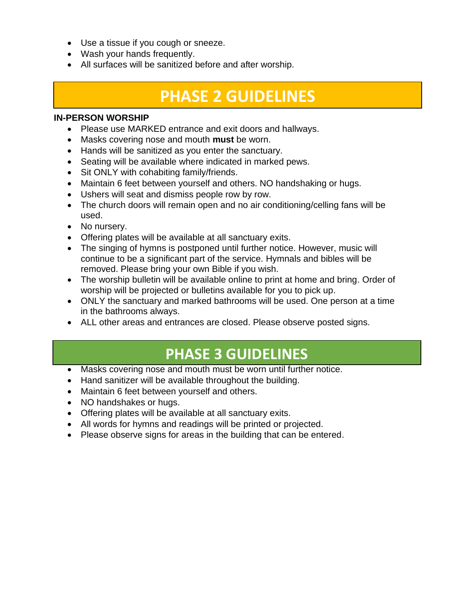- Use a tissue if you cough or sneeze.
- Wash your hands frequently.
- All surfaces will be sanitized before and after worship.

# **PHASE 2 GUIDELINES**

#### **IN-PERSON WORSHIP**

- Please use MARKED entrance and exit doors and hallways.
- Masks covering nose and mouth **must** be worn.
- Hands will be sanitized as you enter the sanctuary.
- Seating will be available where indicated in marked pews.
- Sit ONLY with cohabiting family/friends.
- Maintain 6 feet between yourself and others. NO handshaking or hugs.
- Ushers will seat and dismiss people row by row.
- The church doors will remain open and no air conditioning/celling fans will be used.
- No nursery.
- Offering plates will be available at all sanctuary exits.
- The singing of hymns is postponed until further notice. However, music will continue to be a significant part of the service. Hymnals and bibles will be removed. Please bring your own Bible if you wish.
- The worship bulletin will be available online to print at home and bring. Order of worship will be projected or bulletins available for you to pick up.
- ONLY the sanctuary and marked bathrooms will be used. One person at a time in the bathrooms always.
- ALL other areas and entrances are closed. Please observe posted signs.

### **8:45 and 10:45 LIVE Service** • Sit with cohabiting family/friends. **PHASE 3 GUIDELINES**

- Masks covering nose and mouth must be worn until further notice.
- Hand sanitizer will be available throughout the building.
- Maintain 6 feet between yourself and others.
- NO handshakes or hugs.
- Offering plates will be available at all sanctuary exits.
- All words for hymns and readings will be printed or projected.
- Please observe signs for areas in the building that can be entered.